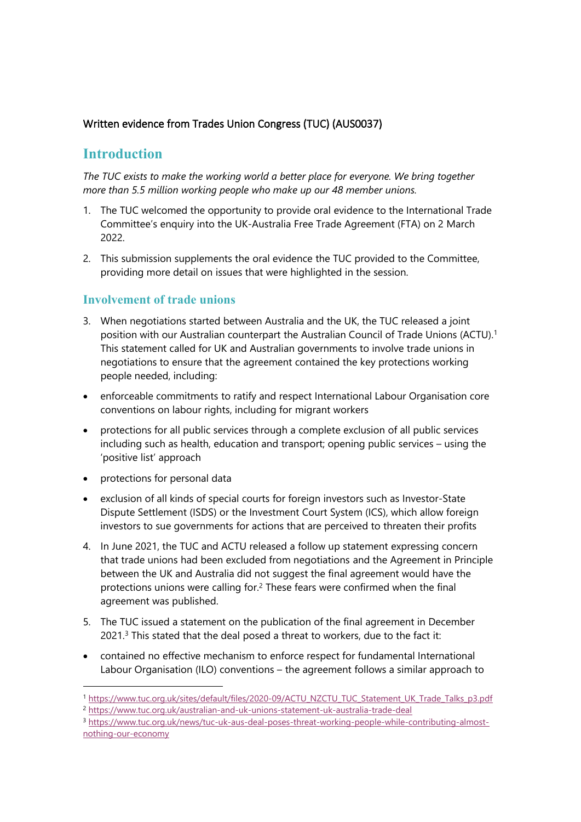## **Written evidence from Trades Union Congress (TUC) (AUS0037)**

# **Introduction**

*The TUC exists to make the working world a better place for everyone. We bring together more than 5.5 million working people who make up our 48 member unions.*

- 1. The TUC welcomed the opportunity to provide oral evidence to the International Trade Committee's enquiry into the UK-Australia Free Trade Agreement (FTA) on 2 March 2022.
- 2. This submission supplements the oral evidence the TUC provided to the Committee, providing more detail on issues that were highlighted in the session.

## **Involvement of trade unions**

- 3. When negotiations started between Australia and the UK, the TUC released a joint position with our Australian counterpart the Australian Council of Trade Unions (ACTU).<sup>1</sup> This statement called for UK and Australian governments to involve trade unions in negotiations to ensure that the agreement contained the key protections working people needed, including:
- enforceable commitments to ratify and respect International Labour Organisation core conventions on labour rights, including for migrant workers
- protections for all public services through a complete exclusion of all public services including such as health, education and transport; opening public services – using the 'positive list' approach
- protections for personal data
- exclusion of all kinds of special courts for foreign investors such as Investor-State Dispute Settlement (ISDS) or the Investment Court System (ICS), which allow foreign investors to sue governments for actions that are perceived to threaten their profits
- 4. In June 2021, the TUC and ACTU released a follow up statement expressing concern that trade unions had been excluded from negotiations and the Agreement in Principle between the UK and Australia did not suggest the final agreement would have the protections unions were calling for.<sup>2</sup> These fears were confirmed when the final agreement was published.
- 5. The TUC issued a statement on the publication of the final agreement in December 2021.<sup>3</sup> This stated that the deal posed a threat to workers, due to the fact it:
- contained no effective mechanism to enforce respect for fundamental International Labour Organisation (ILO) conventions – the agreement follows a similar approach to

<sup>1</sup> [https://www.tuc.org.uk/sites/default/files/2020-09/ACTU\\_NZCTU\\_TUC\\_Statement\\_UK\\_Trade\\_Talks\\_p3.pdf](https://www.tuc.org.uk/sites/default/files/2020-09/ACTU_NZCTU_TUC_Statement_UK_Trade_Talks_p3.pdf) <sup>2</sup> <https://www.tuc.org.uk/australian-and-uk-unions-statement-uk-australia-trade-deal>

<sup>3</sup> [https://www.tuc.org.uk/news/tuc-uk-aus-deal-poses-threat-working-people-while-contributing-almost](https://www.tuc.org.uk/news/tuc-uk-aus-deal-poses-threat-working-people-while-contributing-almost-nothing-our-economy)[nothing-our-economy](https://www.tuc.org.uk/news/tuc-uk-aus-deal-poses-threat-working-people-while-contributing-almost-nothing-our-economy)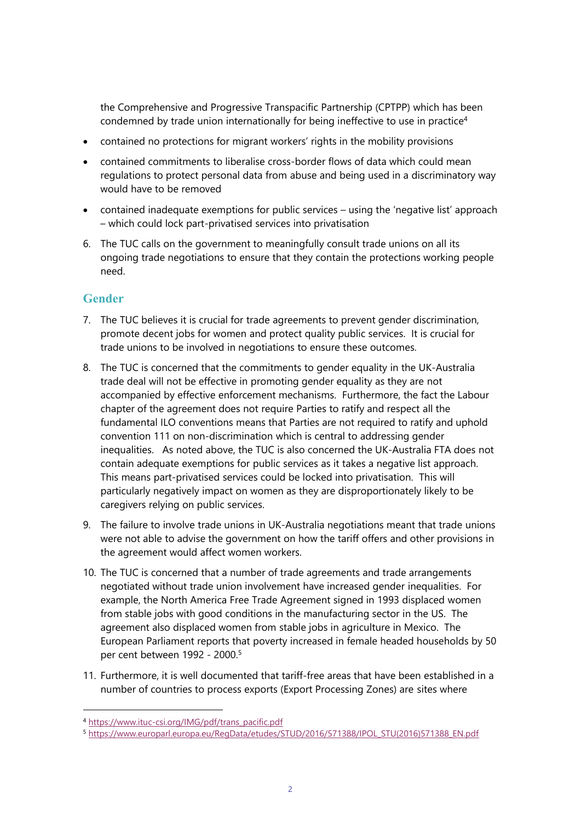the Comprehensive and Progressive Transpacific Partnership (CPTPP) which has been condemned by trade union internationally for being ineffective to use in practice<sup>4</sup>

- contained no protections for migrant workers' rights in the mobility provisions
- contained commitments to liberalise cross-border flows of data which could mean regulations to protect personal data from abuse and being used in a discriminatory way would have to be removed
- contained inadequate exemptions for public services using the 'negative list' approach – which could lock part-privatised services into privatisation
- 6. The TUC calls on the government to meaningfully consult trade unions on all its ongoing trade negotiations to ensure that they contain the protections working people need.

## **Gender**

- 7. The TUC believes it is crucial for trade agreements to prevent gender discrimination, promote decent jobs for women and protect quality public services. It is crucial for trade unions to be involved in negotiations to ensure these outcomes.
- 8. The TUC is concerned that the commitments to gender equality in the UK-Australia trade deal will not be effective in promoting gender equality as they are not accompanied by effective enforcement mechanisms. Furthermore, the fact the Labour chapter of the agreement does not require Parties to ratify and respect all the fundamental ILO conventions means that Parties are not required to ratify and uphold convention 111 on non-discrimination which is central to addressing gender inequalities. As noted above, the TUC is also concerned the UK-Australia FTA does not contain adequate exemptions for public services as it takes a negative list approach. This means part-privatised services could be locked into privatisation. This will particularly negatively impact on women as they are disproportionately likely to be caregivers relying on public services.
- 9. The failure to involve trade unions in UK-Australia negotiations meant that trade unions were not able to advise the government on how the tariff offers and other provisions in the agreement would affect women workers.
- 10. The TUC is concerned that a number of trade agreements and trade arrangements negotiated without trade union involvement have increased gender inequalities. For example, the North America Free Trade Agreement signed in 1993 displaced women from stable jobs with good conditions in the manufacturing sector in the US. The agreement also displaced women from stable jobs in agriculture in Mexico. The European Parliament reports that poverty increased in female headed households by 50 per cent between 1992 - 2000.<sup>5</sup>
- 11. Furthermore, it is well documented that tariff-free areas that have been established in a number of countries to process exports (Export Processing Zones) are sites where

<sup>4</sup> [https://www.ituc-csi.org/IMG/pdf/trans\\_pacific.pdf](https://www.ituc-csi.org/IMG/pdf/trans_pacific.pdf)

<sup>5</sup> [https://www.europarl.europa.eu/RegData/etudes/STUD/2016/571388/IPOL\\_STU\(2016\)571388\\_EN.pdf](https://www.europarl.europa.eu/RegData/etudes/STUD/2016/571388/IPOL_STU(2016)571388_EN.pdf)